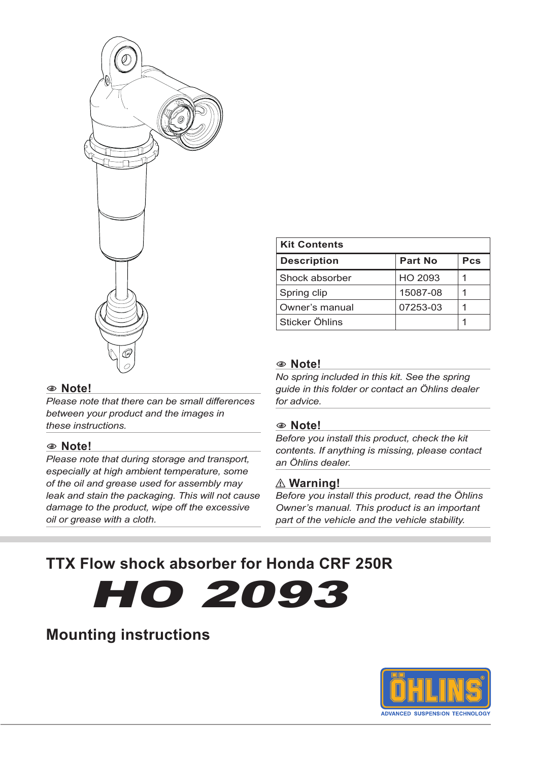

*Please note that there can be small differences between your product and the images in* 

*Please note that during storage and transport, especially at high ambient temperature, some of the oil and grease used for assembly may leak and stain the packaging. This will not cause damage to the product, wipe off the excessive* 

*these instructions.*

*oil or grease with a cloth.*

1 **Note!**

## **Description Part No Pcs** Shock absorber | HO 2093 | 1 Spring clip 15087-08 | 1 Owner's manual 07253-03 1 Sticker Öhlins 1

## 1 **Note!**

**Kit Contents**

*No spring included in this kit. See the spring guide in this folder or contact an Öhlins dealer for advice.*

#### 1 **Note!**

*Before you install this product, check the kit contents. If anything is missing, please contact an Öhlins dealer.*

## ⚠ **Warning!**

*Before you install this product, read the Öhlins Owner's manual. This product is an important part of the vehicle and the vehicle stability.*

## **TTX Flow shock absorber for Honda CRF 250R**

# HO 2093

## **Mounting instructions**

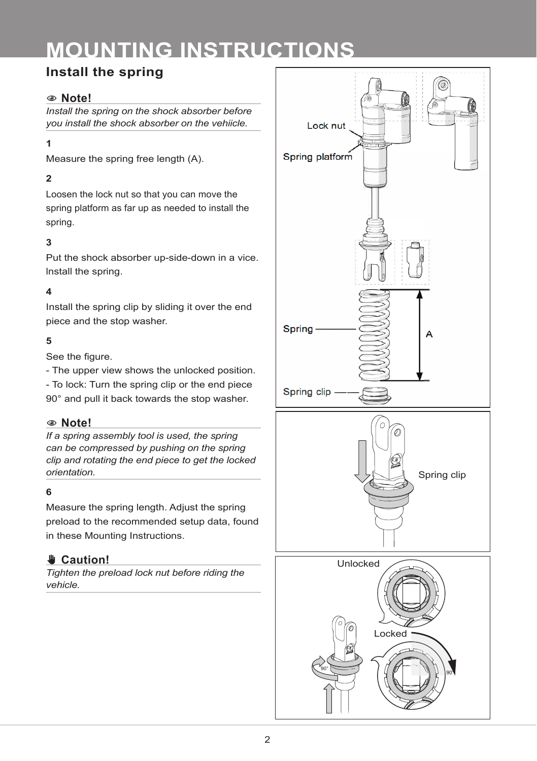## **MOUNTING INSTRUCTIONS**

## **Install the spring**

## 1 **Note!**

*Install the spring on the shock absorber before you install the shock absorber on the vehiicle.*

## **1**

Measure the spring free length (A).

## **2**

Loosen the lock nut so that you can move the spring platform as far up as needed to install the spring.

## **3**

Put the shock absorber up-side-down in a vice. lnstall the spring.

## **4**

Install the spring clip by sliding it over the end piece and the stop washer.

## **5**

See the figure.

- The upper view shows the unlocked position.

- To lock: Turn the spring clip or the end piece 90° and pull it back towards the stop washer.

## 1 **Note!**

*If a spring assembly tool is used, the spring can be compressed by pushing on the spring clip and rotating the end piece to get the locked orientation.*

## **6**

Measure the spring length. Adjust the spring preload to the recommended setup data, found in these Mounting Instructions.

## ✋**✋ Caution!**

*Tighten the preload lock nut before riding the vehicle.*

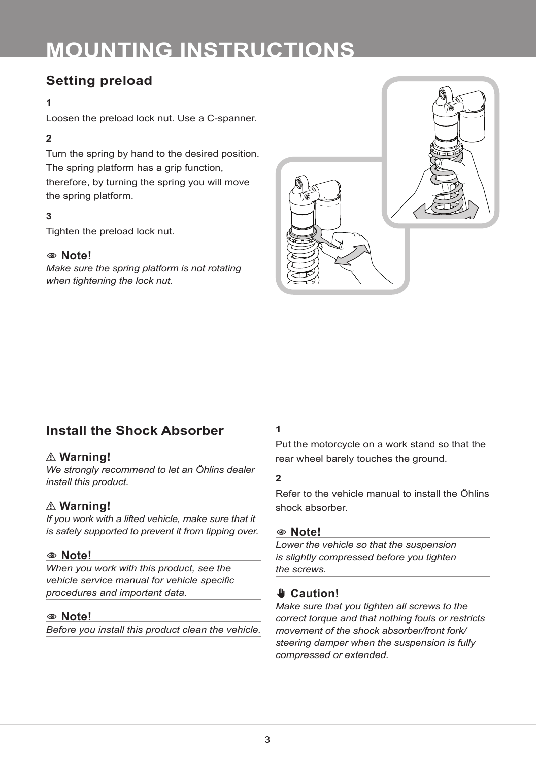## **MOUNTING INSTRUCTIONS**

## **Setting preload**

#### **1**

Loosen the preload lock nut. Use a C-spanner.

## **2**

Turn the spring by hand to the desired position. The spring platform has a grip function, therefore, by turning the spring you will move the spring platform.

## **3**

Tighten the preload lock nut.

## 1 **Note!**

*Make sure the spring platform is not rotating when tightening the lock nut.*



## **Install the Shock Absorber**

## ⚠ **Warning!**

*We strongly recommend to let an Öhlins dealer install this product.*

## ⚠ **Warning!**

*If you work with a lifted vehicle, make sure that it is safely supported to prevent it from tipping over.*

## 1 **Note!**

*When you work with this product, see the vehicle service manual for vehicle specific procedures and important data.*

## 1 **Note!**

*Before you install this product clean the vehicle.*

## **1**

Put the motorcycle on a work stand so that the rear wheel barely touches the ground.

#### **2**

Refer to the vehicle manual to install the Öhlins shock absorber.

#### 1 **Note!**

*Lower the vehicle so that the suspension is slightly compressed before you tighten the screws.*

## ✋**✋ Caution!**

*Make sure that you tighten all screws to the correct torque and that nothing fouls or restricts movement of the shock absorber/front fork/ steering damper when the suspension is fully compressed or extended.*